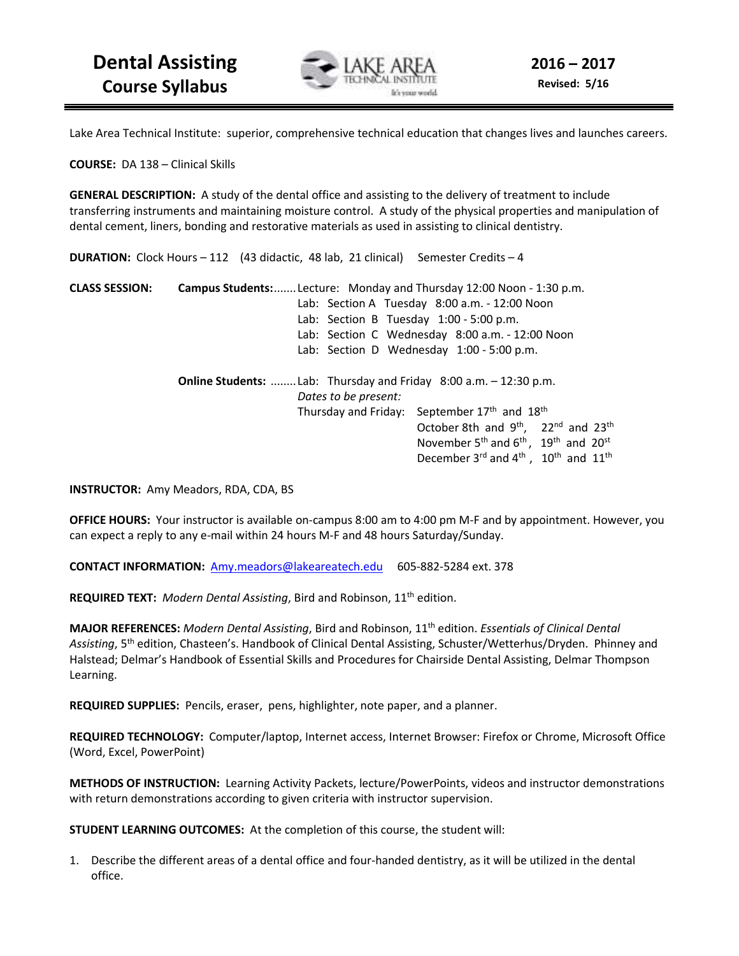

Lake Area Technical Institute: superior, comprehensive technical education that changes lives and launches careers.

**COURSE:** DA 138 – Clinical Skills

**GENERAL DESCRIPTION:** A study of the dental office and assisting to the delivery of treatment to include transferring instruments and maintaining moisture control. A study of the physical properties and manipulation of dental cement, liners, bonding and restorative materials as used in assisting to clinical dentistry.

**DURATION:** Clock Hours – 112 (43 didactic, 48 lab, 21 clinical) Semester Credits – 4

**CLASS SESSION: Campus Students:** ....... Lecture: Monday and Thursday 12:00 Noon - 1:30 p.m. Lab: Section A Tuesday 8:00 a.m. - 12:00 Noon Lab: Section B Tuesday 1:00 - 5:00 p.m. Lab: Section C Wednesday 8:00 a.m. - 12:00 Noon Lab: Section D Wednesday 1:00 - 5:00 p.m. **Online Students:** ........ Lab: Thursday and Friday 8:00 a.m. – 12:30 p.m. *Dates to be present:* Thursday and Friday: September 17<sup>th</sup> and 18<sup>th</sup>  $\text{October 8th}$  and  $9^{\text{th}}$ ,  $22^{\text{nd}}$  and  $23^{\text{th}}$ November 5<sup>th</sup> and  $6<sup>th</sup>$ , 19<sup>th</sup> and 20<sup>st</sup> **December 3<sup>rd</sup> and 4<sup>th</sup>**, 10<sup>th</sup> and 11<sup>th</sup>

**INSTRUCTOR:** Amy Meadors, RDA, CDA, BS

**OFFICE HOURS:** Your instructor is available on-campus 8:00 am to 4:00 pm M-F and by appointment. However, you can expect a reply to any e-mail within 24 hours M-F and 48 hours Saturday/Sunday.

**CONTACT INFORMATION:** Amy.meadors@lakeareatech.edu 605-882-5284 ext. 378

**REQUIRED TEXT:** *Modern Dental Assisting*, Bird and Robinson, 11th edition.

**MAJOR REFERENCES:** *Modern Dental Assisting*, Bird and Robinson, 11th edition. *Essentials of Clinical Dental Assisting*, 5th edition, Chasteen's. Handbook of Clinical Dental Assisting, Schuster/Wetterhus/Dryden. Phinney and Halstead; Delmar's Handbook of Essential Skills and Procedures for Chairside Dental Assisting, Delmar Thompson Learning.

**REQUIRED SUPPLIES:** Pencils, eraser, pens, highlighter, note paper, and a planner.

**REQUIRED TECHNOLOGY:** Computer/laptop, Internet access, Internet Browser: Firefox or Chrome, Microsoft Office (Word, Excel, PowerPoint)

**METHODS OF INSTRUCTION:** Learning Activity Packets, lecture/PowerPoints, videos and instructor demonstrations with return demonstrations according to given criteria with instructor supervision.

**STUDENT LEARNING OUTCOMES:** At the completion of this course, the student will:

1. Describe the different areas of a dental office and four-handed dentistry, as it will be utilized in the dental office.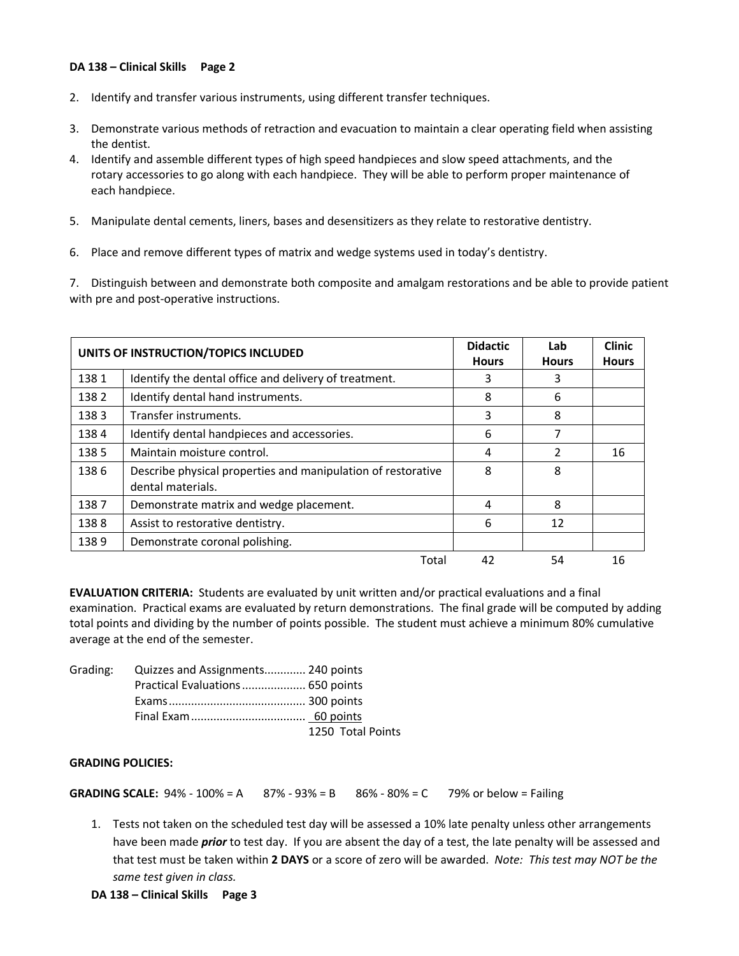## **DA 138 – Clinical Skills Page 2**

- 2. Identify and transfer various instruments, using different transfer techniques.
- 3. Demonstrate various methods of retraction and evacuation to maintain a clear operating field when assisting the dentist.
- 4. Identify and assemble different types of high speed handpieces and slow speed attachments, and the rotary accessories to go along with each handpiece. They will be able to perform proper maintenance of each handpiece.
- 5. Manipulate dental cements, liners, bases and desensitizers as they relate to restorative dentistry.
- 6. Place and remove different types of matrix and wedge systems used in today's dentistry.

7. Distinguish between and demonstrate both composite and amalgam restorations and be able to provide patient with pre and post-operative instructions.

| UNITS OF INSTRUCTION/TOPICS INCLUDED |                                                                                   | <b>Didactic</b><br><b>Hours</b> | Lab<br><b>Hours</b> | <b>Clinic</b><br><b>Hours</b> |
|--------------------------------------|-----------------------------------------------------------------------------------|---------------------------------|---------------------|-------------------------------|
| 1381                                 | Identify the dental office and delivery of treatment.                             | 3                               | 3                   |                               |
| 1382                                 | Identify dental hand instruments.                                                 | 8                               | 6                   |                               |
| 1383                                 | Transfer instruments.                                                             | 3                               | 8                   |                               |
| 1384                                 | Identify dental handpieces and accessories.                                       | 6                               |                     |                               |
| 1385                                 | Maintain moisture control.                                                        | 4                               |                     | 16                            |
| 1386                                 | Describe physical properties and manipulation of restorative<br>dental materials. | 8                               | 8                   |                               |
| 1387                                 | Demonstrate matrix and wedge placement.                                           | 4                               | 8                   |                               |
| 1388                                 | Assist to restorative dentistry.                                                  | 6                               | 12                  |                               |
| 1389                                 | Demonstrate coronal polishing.                                                    |                                 |                     |                               |
|                                      | Total                                                                             | 42                              | 54                  | 16                            |

**EVALUATION CRITERIA:** Students are evaluated by unit written and/or practical evaluations and a final examination. Practical exams are evaluated by return demonstrations. The final grade will be computed by adding total points and dividing by the number of points possible. The student must achieve a minimum 80% cumulative average at the end of the semester.

| Grading: Quizzes and Assignments 240 points |                   |
|---------------------------------------------|-------------------|
| Practical Evaluations 650 points            |                   |
|                                             |                   |
|                                             |                   |
|                                             | 1250 Total Points |

### **GRADING POLICIES:**

**GRADING SCALE:** 94% - 100% = A  $87% - 93% = B$   $86% - 80% = C$  79% or below = Failing

1. Tests not taken on the scheduled test day will be assessed a 10% late penalty unless other arrangements have been made *prior* to test day. If you are absent the day of a test, the late penalty will be assessed and that test must be taken within **2 DAYS** or a score of zero will be awarded. *Note: This test may NOT be the same test given in class.*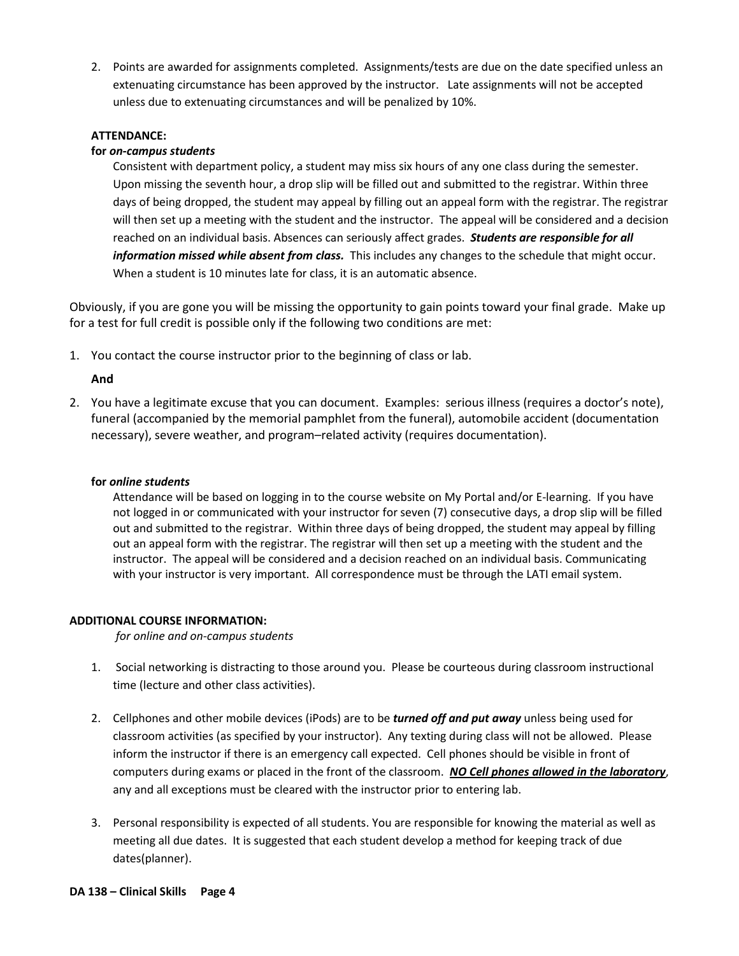2. Points are awarded for assignments completed. Assignments/tests are due on the date specified unless an extenuating circumstance has been approved by the instructor. Late assignments will not be accepted unless due to extenuating circumstances and will be penalized by 10%.

# **ATTENDANCE:**

## **for** *on-campus students*

Consistent with department policy, a student may miss six hours of any one class during the semester. Upon missing the seventh hour, a drop slip will be filled out and submitted to the registrar. Within three days of being dropped, the student may appeal by filling out an appeal form with the registrar. The registrar will then set up a meeting with the student and the instructor. The appeal will be considered and a decision reached on an individual basis. Absences can seriously affect grades. *Students are responsible for all information missed while absent from class.* This includes any changes to the schedule that might occur. When a student is 10 minutes late for class, it is an automatic absence.

Obviously, if you are gone you will be missing the opportunity to gain points toward your final grade. Make up for a test for full credit is possible only if the following two conditions are met:

1. You contact the course instructor prior to the beginning of class or lab.

# **And**

2. You have a legitimate excuse that you can document. Examples: serious illness (requires a doctor's note), funeral (accompanied by the memorial pamphlet from the funeral), automobile accident (documentation necessary), severe weather, and program–related activity (requires documentation).

### **for** *online students*

Attendance will be based on logging in to the course website on My Portal and/or E-learning. If you have not logged in or communicated with your instructor for seven (7) consecutive days, a drop slip will be filled out and submitted to the registrar. Within three days of being dropped, the student may appeal by filling out an appeal form with the registrar. The registrar will then set up a meeting with the student and the instructor. The appeal will be considered and a decision reached on an individual basis. Communicating with your instructor is very important. All correspondence must be through the LATI email system.

## **ADDITIONAL COURSE INFORMATION:**

*for online and on-campus students* 

- 1. Social networking is distracting to those around you. Please be courteous during classroom instructional time (lecture and other class activities).
- 2. Cellphones and other mobile devices (iPods) are to be *turned off and put away* unless being used for classroom activities (as specified by your instructor). Any texting during class will not be allowed. Please inform the instructor if there is an emergency call expected. Cell phones should be visible in front of computers during exams or placed in the front of the classroom. *NO Cell phones allowed in the laboratory*, any and all exceptions must be cleared with the instructor prior to entering lab.
- 3. Personal responsibility is expected of all students. You are responsible for knowing the material as well as meeting all due dates. It is suggested that each student develop a method for keeping track of due dates(planner).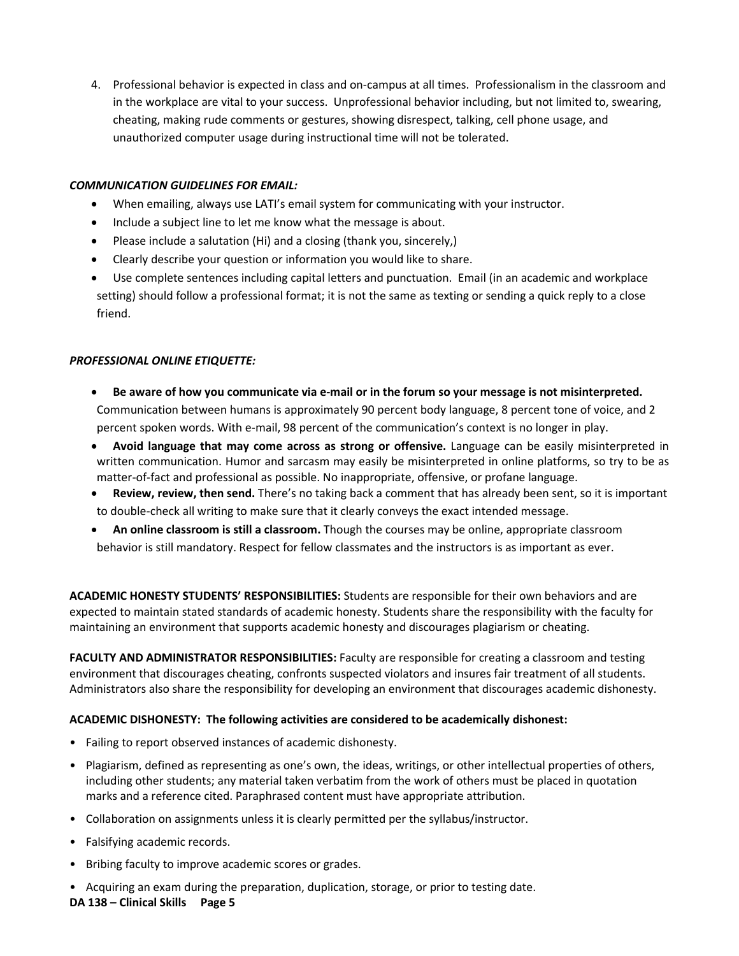4. Professional behavior is expected in class and on-campus at all times. Professionalism in the classroom and in the workplace are vital to your success. Unprofessional behavior including, but not limited to, swearing, cheating, making rude comments or gestures, showing disrespect, talking, cell phone usage, and unauthorized computer usage during instructional time will not be tolerated.

# *COMMUNICATION GUIDELINES FOR EMAIL:*

- When emailing, always use LATI's email system for communicating with your instructor.
- Include a subject line to let me know what the message is about.
- Please include a salutation (Hi) and a closing (thank you, sincerely,)
- Clearly describe your question or information you would like to share.
- Use complete sentences including capital letters and punctuation. Email (in an academic and workplace setting) should follow a professional format; it is not the same as texting or sending a quick reply to a close friend.

## *PROFESSIONAL ONLINE ETIQUETTE:*

- **Be aware of how you communicate via e-mail or in the forum so your message is not misinterpreted.** Communication between humans is approximately 90 percent body language, 8 percent tone of voice, and 2 percent spoken words. With e-mail, 98 percent of the communication's context is no longer in play.
- **Avoid language that may come across as strong or offensive.** Language can be easily misinterpreted in written communication. Humor and sarcasm may easily be misinterpreted in online platforms, so try to be as matter-of-fact and professional as possible. No inappropriate, offensive, or profane language.
- **Review, review, then send.** There's no taking back a comment that has already been sent, so it is important to double-check all writing to make sure that it clearly conveys the exact intended message.
- **An online classroom is still a classroom.** Though the courses may be online, appropriate classroom behavior is still mandatory. Respect for fellow classmates and the instructors is as important as ever.

**ACADEMIC HONESTY STUDENTS' RESPONSIBILITIES:** Students are responsible for their own behaviors and are expected to maintain stated standards of academic honesty. Students share the responsibility with the faculty for maintaining an environment that supports academic honesty and discourages plagiarism or cheating.

**FACULTY AND ADMINISTRATOR RESPONSIBILITIES:** Faculty are responsible for creating a classroom and testing environment that discourages cheating, confronts suspected violators and insures fair treatment of all students. Administrators also share the responsibility for developing an environment that discourages academic dishonesty.

## **ACADEMIC DISHONESTY: The following activities are considered to be academically dishonest:**

- Failing to report observed instances of academic dishonesty.
- Plagiarism, defined as representing as one's own, the ideas, writings, or other intellectual properties of others, including other students; any material taken verbatim from the work of others must be placed in quotation marks and a reference cited. Paraphrased content must have appropriate attribution.
- Collaboration on assignments unless it is clearly permitted per the syllabus/instructor.
- Falsifying academic records.
- Bribing faculty to improve academic scores or grades.
- Acquiring an exam during the preparation, duplication, storage, or prior to testing date.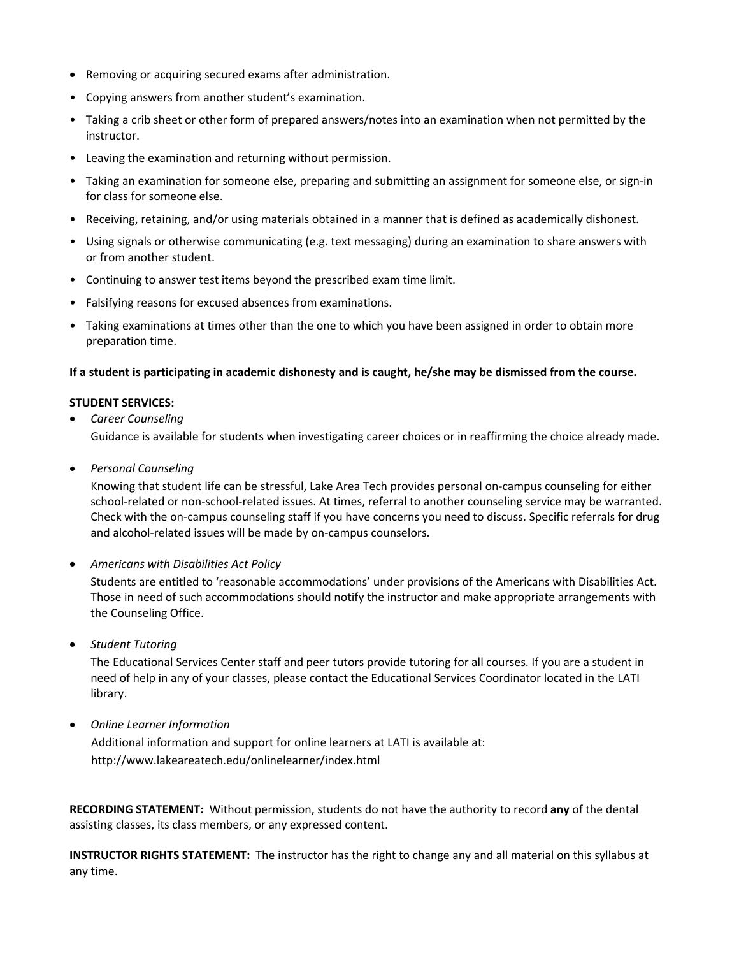- Removing or acquiring secured exams after administration.
- Copying answers from another student's examination.
- Taking a crib sheet or other form of prepared answers/notes into an examination when not permitted by the instructor.
- Leaving the examination and returning without permission.
- Taking an examination for someone else, preparing and submitting an assignment for someone else, or sign-in for class for someone else.
- Receiving, retaining, and/or using materials obtained in a manner that is defined as academically dishonest.
- Using signals or otherwise communicating (e.g. text messaging) during an examination to share answers with or from another student.
- Continuing to answer test items beyond the prescribed exam time limit.
- Falsifying reasons for excused absences from examinations.
- Taking examinations at times other than the one to which you have been assigned in order to obtain more preparation time.

# **If a student is participating in academic dishonesty and is caught, he/she may be dismissed from the course.**

# **STUDENT SERVICES:**

- *Career Counseling*  Guidance is available for students when investigating career choices or in reaffirming the choice already made.
- *Personal Counseling*

Knowing that student life can be stressful, Lake Area Tech provides personal on-campus counseling for either school-related or non-school-related issues. At times, referral to another counseling service may be warranted. Check with the on-campus counseling staff if you have concerns you need to discuss. Specific referrals for drug and alcohol-related issues will be made by on-campus counselors.

• *Americans with Disabilities Act Policy* 

Students are entitled to 'reasonable accommodations' under provisions of the Americans with Disabilities Act. Those in need of such accommodations should notify the instructor and make appropriate arrangements with the Counseling Office.

• *Student Tutoring* 

The Educational Services Center staff and peer tutors provide tutoring for all courses. If you are a student in need of help in any of your classes, please contact the Educational Services Coordinator located in the LATI library.

• *Online Learner Information* 

Additional information and support for online learners at LATI is available at: http://www.lakeareatech.edu/onlinelearner/index.html

**RECORDING STATEMENT:** Without permission, students do not have the authority to record **any** of the dental assisting classes, its class members, or any expressed content.

**INSTRUCTOR RIGHTS STATEMENT:** The instructor has the right to change any and all material on this syllabus at any time.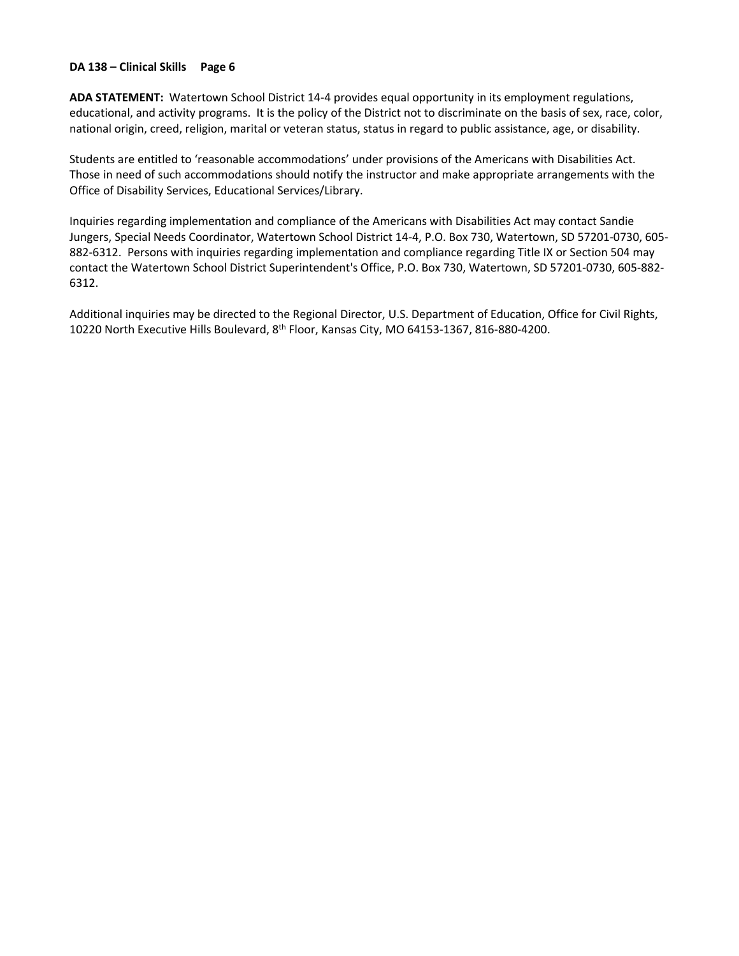## **DA 138 – Clinical Skills Page 6**

**ADA STATEMENT:** Watertown School District 14-4 provides equal opportunity in its employment regulations, educational, and activity programs. It is the policy of the District not to discriminate on the basis of sex, race, color, national origin, creed, religion, marital or veteran status, status in regard to public assistance, age, or disability.

Students are entitled to 'reasonable accommodations' under provisions of the Americans with Disabilities Act. Those in need of such accommodations should notify the instructor and make appropriate arrangements with the Office of Disability Services, Educational Services/Library.

Inquiries regarding implementation and compliance of the Americans with Disabilities Act may contact Sandie Jungers, Special Needs Coordinator, Watertown School District 14-4, P.O. Box 730, Watertown, SD 57201-0730, 605- 882-6312. Persons with inquiries regarding implementation and compliance regarding Title IX or Section 504 may contact the Watertown School District Superintendent's Office, P.O. Box 730, Watertown, SD 57201-0730, 605-882- 6312.

Additional inquiries may be directed to the Regional Director, U.S. Department of Education, Office for Civil Rights, 10220 North Executive Hills Boulevard, 8th Floor, Kansas City, MO 64153-1367, 816-880-4200.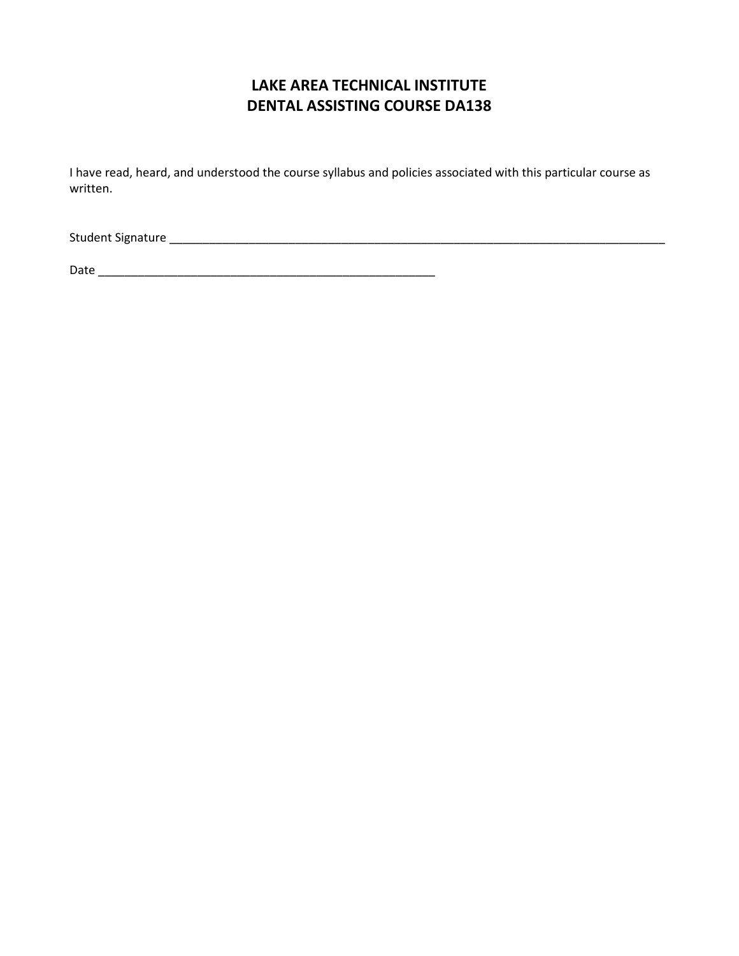# **LAKE AREA TECHNICAL INSTITUTE DENTAL ASSISTING COURSE DA138**

I have read, heard, and understood the course syllabus and policies associated with this particular course as written.

Student Signature \_\_\_\_\_\_\_\_\_\_\_\_\_\_\_\_\_\_\_\_\_\_\_\_\_\_\_\_\_\_\_\_\_\_\_\_\_\_\_\_\_\_\_\_\_\_\_\_\_\_\_\_\_\_\_\_\_\_\_\_\_\_\_\_\_\_\_\_\_\_\_\_\_\_\_

Date \_\_\_\_\_\_\_\_\_\_\_\_\_\_\_\_\_\_\_\_\_\_\_\_\_\_\_\_\_\_\_\_\_\_\_\_\_\_\_\_\_\_\_\_\_\_\_\_\_\_\_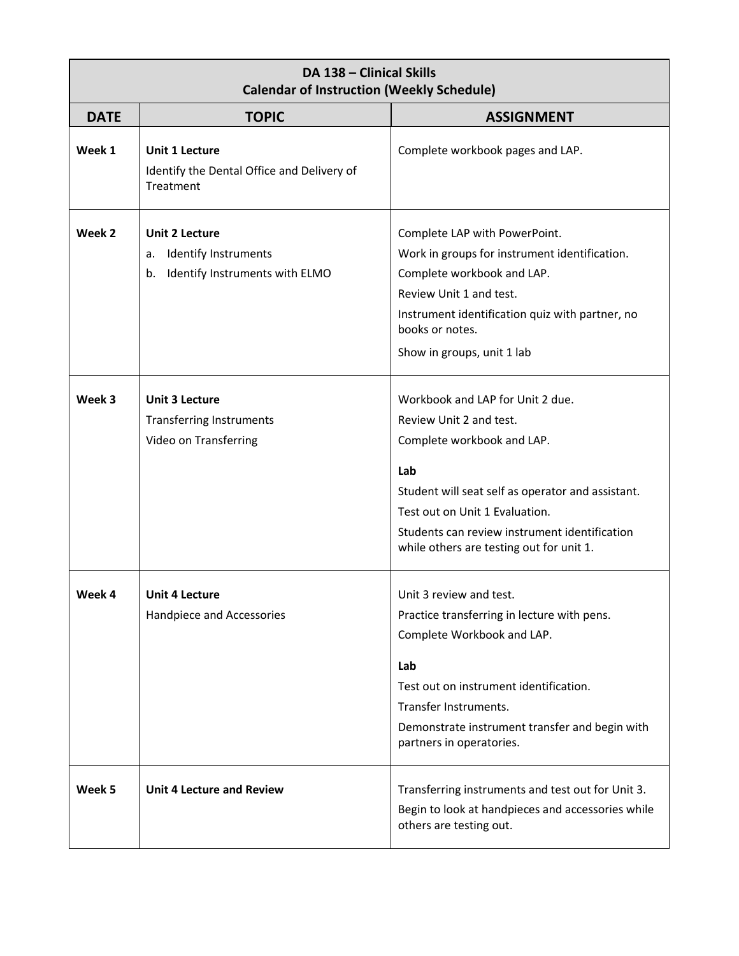| DA 138 - Clinical Skills<br><b>Calendar of Instruction (Weekly Schedule)</b> |                                                                                                    |                                                                                                                                                                                                                                                                                      |  |
|------------------------------------------------------------------------------|----------------------------------------------------------------------------------------------------|--------------------------------------------------------------------------------------------------------------------------------------------------------------------------------------------------------------------------------------------------------------------------------------|--|
| <b>DATE</b>                                                                  | <b>TOPIC</b>                                                                                       | <b>ASSIGNMENT</b>                                                                                                                                                                                                                                                                    |  |
| Week 1                                                                       | <b>Unit 1 Lecture</b><br>Identify the Dental Office and Delivery of<br>Treatment                   | Complete workbook pages and LAP.                                                                                                                                                                                                                                                     |  |
| Week 2                                                                       | <b>Unit 2 Lecture</b><br><b>Identify Instruments</b><br>a.<br>Identify Instruments with ELMO<br>b. | Complete LAP with PowerPoint.<br>Work in groups for instrument identification.<br>Complete workbook and LAP.<br>Review Unit 1 and test.<br>Instrument identification quiz with partner, no<br>books or notes.<br>Show in groups, unit 1 lab                                          |  |
| Week 3                                                                       | <b>Unit 3 Lecture</b><br><b>Transferring Instruments</b><br>Video on Transferring                  | Workbook and LAP for Unit 2 due.<br>Review Unit 2 and test.<br>Complete workbook and LAP.<br>Lab<br>Student will seat self as operator and assistant.<br>Test out on Unit 1 Evaluation.<br>Students can review instrument identification<br>while others are testing out for unit 1. |  |
| Week 4                                                                       | Unit 4 Lecture<br>Handpiece and Accessories                                                        | Unit 3 review and test.<br>Practice transferring in lecture with pens.<br>Complete Workbook and LAP.<br>Lab<br>Test out on instrument identification.<br>Transfer Instruments.<br>Demonstrate instrument transfer and begin with<br>partners in operatories.                         |  |
| Week 5                                                                       | <b>Unit 4 Lecture and Review</b>                                                                   | Transferring instruments and test out for Unit 3.<br>Begin to look at handpieces and accessories while<br>others are testing out.                                                                                                                                                    |  |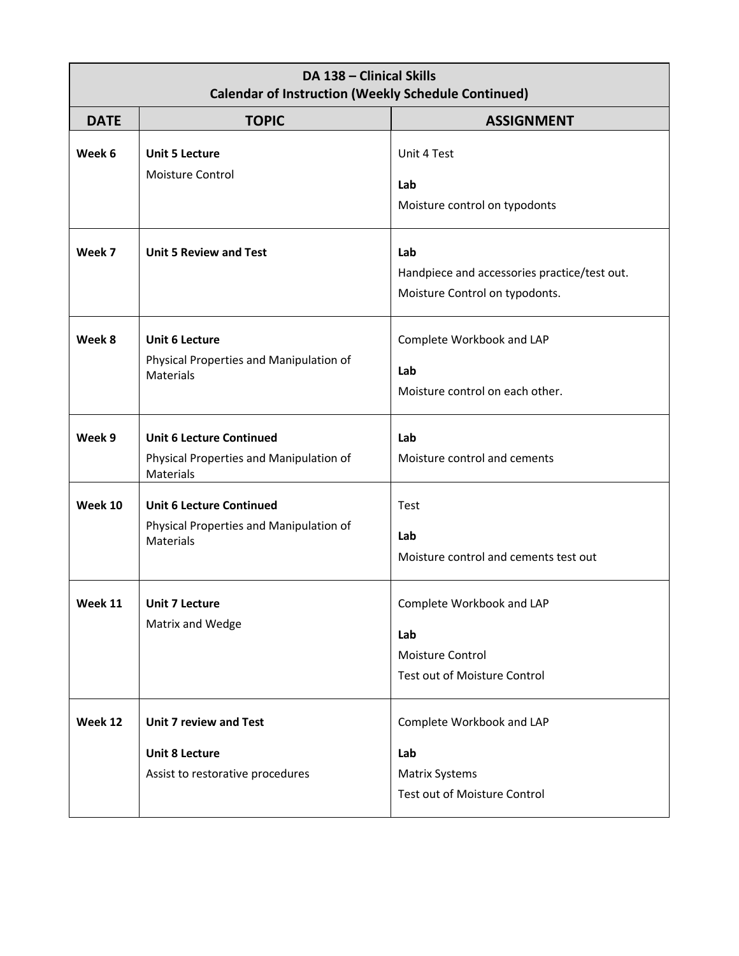| DA 138 - Clinical Skills<br><b>Calendar of Instruction (Weekly Schedule Continued)</b> |                                                                                                |                                                                                           |  |
|----------------------------------------------------------------------------------------|------------------------------------------------------------------------------------------------|-------------------------------------------------------------------------------------------|--|
| <b>DATE</b>                                                                            | <b>TOPIC</b>                                                                                   | <b>ASSIGNMENT</b>                                                                         |  |
| Week 6                                                                                 | <b>Unit 5 Lecture</b><br>Moisture Control                                                      | Unit 4 Test<br>Lab<br>Moisture control on typodonts                                       |  |
| Week 7                                                                                 | <b>Unit 5 Review and Test</b>                                                                  | Lab<br>Handpiece and accessories practice/test out.<br>Moisture Control on typodonts.     |  |
| Week 8                                                                                 | <b>Unit 6 Lecture</b><br>Physical Properties and Manipulation of<br>Materials                  | Complete Workbook and LAP<br>Lab<br>Moisture control on each other.                       |  |
| Week 9                                                                                 | <b>Unit 6 Lecture Continued</b><br>Physical Properties and Manipulation of<br><b>Materials</b> | Lab<br>Moisture control and cements                                                       |  |
| Week 10                                                                                | <b>Unit 6 Lecture Continued</b><br>Physical Properties and Manipulation of<br>Materials        | Test<br>Lab<br>Moisture control and cements test out                                      |  |
| Week 11                                                                                | <b>Unit 7 Lecture</b><br>Matrix and Wedge                                                      | Complete Workbook and LAP<br>Lab<br>Moisture Control<br>Test out of Moisture Control      |  |
| Week 12                                                                                | <b>Unit 7 review and Test</b><br><b>Unit 8 Lecture</b><br>Assist to restorative procedures     | Complete Workbook and LAP<br>Lab<br><b>Matrix Systems</b><br>Test out of Moisture Control |  |